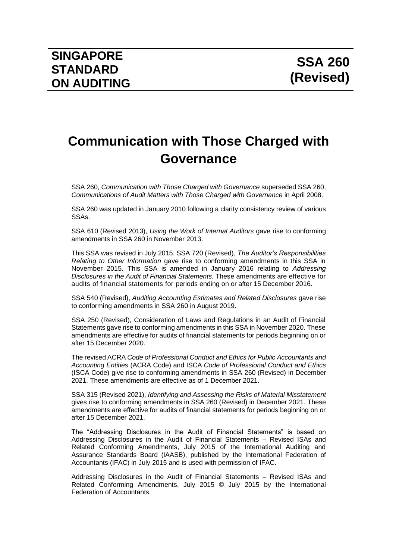# **Communication with Those Charged with Governance**

SSA 260, *Communication with Those Charged with Governance* superseded SSA 260, *Communications of Audit Matters with Those Charged with Governance* in April 2008.

SSA 260 was updated in January 2010 following a clarity consistency review of various SSAs.

SSA 610 (Revised 2013), *Using the Work of Internal Auditors* gave rise to conforming amendments in SSA 260 in November 2013.

This SSA was revised in July 2015. SSA 720 (Revised), *The Auditor's Responsibilities Relating to Other Information* gave rise to conforming amendments in this SSA in November 2015. This SSA is amended in January 2016 relating to *Addressing Disclosures in the Audit of Financial Statements.* These amendments are effective for audits of financial statements for periods ending on or after 15 December 2016.

SSA 540 (Revised), *Auditing Accounting Estimates and Related Disclosures* gave rise to conforming amendments in SSA 260 in August 2019.

SSA 250 (Revised), Consideration of Laws and Regulations in an Audit of Financial Statements gave rise to conforming amendments in this SSA in November 2020. These amendments are effective for audits of financial statements for periods beginning on or after 15 December 2020.

The revised ACRA *Code of Professional Conduct and Ethics for Public Accountants and Accounting Entities* (ACRA Code) and ISCA *Code of Professional Conduct and Ethics* (ISCA Code) give rise to conforming amendments in SSA 260 (Revised) in December 2021. These amendments are effective as of 1 December 2021.

SSA 315 (Revised 2021), *Identifying and Assessing the Risks of Material Misstatement* gives rise to conforming amendments in SSA 260 (Revised) in December 2021. These amendments are effective for audits of financial statements for periods beginning on or after 15 December 2021.

The "Addressing Disclosures in the Audit of Financial Statements" is based on Addressing Disclosures in the Audit of Financial Statements – Revised ISAs and Related Conforming Amendments, July 2015 of the International Auditing and Assurance Standards Board (IAASB), published by the International Federation of Accountants (IFAC) in July 2015 and is used with permission of IFAC.

Addressing Disclosures in the Audit of Financial Statements – Revised ISAs and Related Conforming Amendments, July 2015 © July 2015 by the International Federation of Accountants.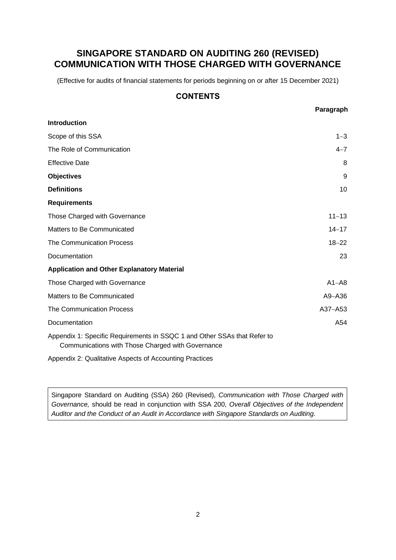## **SINGAPORE STANDARD ON AUDITING 260 (REVISED) COMMUNICATION WITH THOSE CHARGED WITH GOVERNANCE**

(Effective for audits of financial statements for periods beginning on or after 15 December 2021)

## **CONTENTS**

**Paragraph**

|                                                                                                                               | urugrupn   |
|-------------------------------------------------------------------------------------------------------------------------------|------------|
| <b>Introduction</b>                                                                                                           |            |
| Scope of this SSA                                                                                                             | $1 - 3$    |
| The Role of Communication                                                                                                     | $4 - 7$    |
| <b>Effective Date</b>                                                                                                         | 8          |
| <b>Objectives</b>                                                                                                             | 9          |
| <b>Definitions</b>                                                                                                            | 10         |
| <b>Requirements</b>                                                                                                           |            |
| Those Charged with Governance                                                                                                 | $11 - 13$  |
| Matters to Be Communicated                                                                                                    | $14 - 17$  |
| <b>The Communication Process</b>                                                                                              | $18 - 22$  |
| Documentation                                                                                                                 | 23         |
| <b>Application and Other Explanatory Material</b>                                                                             |            |
| Those Charged with Governance                                                                                                 | $A1 - A8$  |
| Matters to Be Communicated                                                                                                    | $A9 - A36$ |
| The Communication Process                                                                                                     | A37-A53    |
| Documentation                                                                                                                 | A54        |
| Appendix 1: Specific Requirements in SSQC 1 and Other SSAs that Refer to<br>Communications with Those Charged with Governance |            |

Appendix 2: Qualitative Aspects of Accounting Practices

Singapore Standard on Auditing (SSA) 260 (Revised), *Communication with Those Charged with Governance,* should be read in conjunction with SSA 200, *Overall Objectives of the Independent Auditor and the Conduct of an Audit in Accordance with Singapore Standards on Auditing*.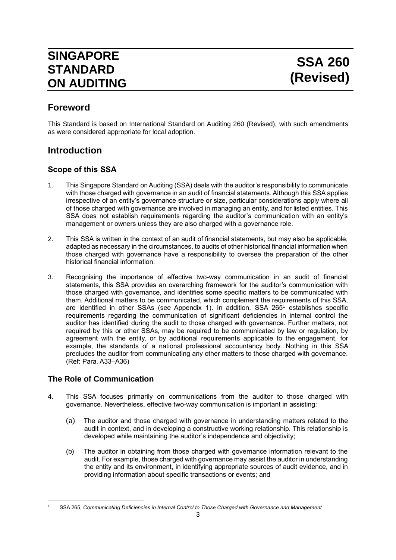# **SINGAPORE STANDARD ON AUDITING**

# **Foreword**

This Standard is based on International Standard on Auditing 260 (Revised), with such amendments as were considered appropriate for local adoption.

## **Introduction**

## **Scope of this SSA**

- 1. This Singapore Standard on Auditing (SSA) deals with the auditor's responsibility to communicate with those charged with governance in an audit of financial statements. Although this SSA applies irrespective of an entity's governance structure or size, particular considerations apply where all of those charged with governance are involved in managing an entity, and for listed entities. This SSA does not establish requirements regarding the auditor's communication with an entity's management or owners unless they are also charged with a governance role.
- 2. This SSA is written in the context of an audit of financial statements, but may also be applicable, adapted as necessary in the circumstances, to audits of other historical financial information when those charged with governance have a responsibility to oversee the preparation of the other historical financial information.
- 3. Recognising the importance of effective two-way communication in an audit of financial statements, this SSA provides an overarching framework for the auditor's communication with those charged with governance, and identifies some specific matters to be communicated with them. Additional matters to be communicated, which complement the requirements of this SSA, are identified in other SSAs (see Appendix 1). In addition, SSA 265<sup>1</sup> establishes specific requirements regarding the communication of significant deficiencies in internal control the auditor has identified during the audit to those charged with governance. Further matters, not required by this or other SSAs, may be required to be communicated by law or regulation, by agreement with the entity, or by additional requirements applicable to the engagement, for example, the standards of a national professional accountancy body. Nothing in this SSA precludes the auditor from communicating any other matters to those charged with governance. (Ref: Para. A33–A36)

## **The Role of Communication**

- 4. This SSA focuses primarily on communications from the auditor to those charged with governance. Nevertheless, effective two-way communication is important in assisting:
	- (a) The auditor and those charged with governance in understanding matters related to the audit in context, and in developing a constructive working relationship. This relationship is developed while maintaining the auditor's independence and objectivity;
	- (b) The auditor in obtaining from those charged with governance information relevant to the audit. For example, those charged with governance may assist the auditor in understanding the entity and its environment, in identifying appropriate sources of audit evidence, and in providing information about specific transactions or events; and

<sup>1</sup> SSA 265, *Communicating Deficiencies in Internal Control to Those Charged with Governance and Management*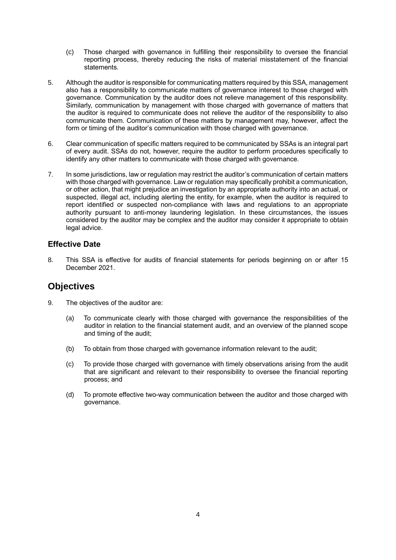- (c) Those charged with governance in fulfilling their responsibility to oversee the financial reporting process, thereby reducing the risks of material misstatement of the financial statements.
- 5. Although the auditor is responsible for communicating matters required by this SSA, management also has a responsibility to communicate matters of governance interest to those charged with governance. Communication by the auditor does not relieve management of this responsibility. Similarly, communication by management with those charged with governance of matters that the auditor is required to communicate does not relieve the auditor of the responsibility to also communicate them. Communication of these matters by management may, however, affect the form or timing of the auditor's communication with those charged with governance.
- 6. Clear communication of specific matters required to be communicated by SSAs is an integral part of every audit. SSAs do not, however, require the auditor to perform procedures specifically to identify any other matters to communicate with those charged with governance.
- 7. In some jurisdictions, law or regulation may restrict the auditor's communication of certain matters with those charged with governance. Law or regulation may specifically prohibit a communication, or other action, that might prejudice an investigation by an appropriate authority into an actual, or suspected, illegal act, including alerting the entity, for example, when the auditor is required to report identified or suspected non-compliance with laws and regulations to an appropriate authority pursuant to anti-money laundering legislation. In these circumstances, the issues considered by the auditor may be complex and the auditor may consider it appropriate to obtain legal advice.

## **Effective Date**

8. This SSA is effective for audits of financial statements for periods beginning on or after 15 December 2021.

## **Objectives**

- 9. The objectives of the auditor are:
	- (a) To communicate clearly with those charged with governance the responsibilities of the auditor in relation to the financial statement audit, and an overview of the planned scope and timing of the audit;
	- (b) To obtain from those charged with governance information relevant to the audit;
	- (c) To provide those charged with governance with timely observations arising from the audit that are significant and relevant to their responsibility to oversee the financial reporting process; and
	- (d) To promote effective two-way communication between the auditor and those charged with governance.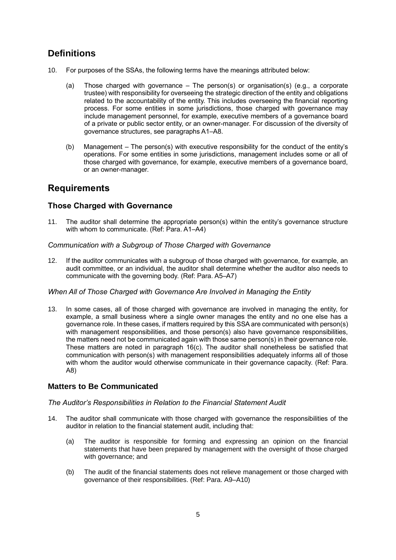# **Definitions**

- 10. For purposes of the SSAs, the following terms have the meanings attributed below:
	- (a) Those charged with governance The person(s) or organisation(s) (e.g., a corporate trustee) with responsibility for overseeing the strategic direction of the entity and obligations related to the accountability of the entity. This includes overseeing the financial reporting process. For some entities in some jurisdictions, those charged with governance may include management personnel, for example, executive members of a governance board of a private or public sector entity, or an owner-manager. For discussion of the diversity of governance structures, see paragraphs A1–A8.
	- (b) Management The person(s) with executive responsibility for the conduct of the entity's operations. For some entities in some jurisdictions, management includes some or all of those charged with governance, for example, executive members of a governance board, or an owner-manager.

## **Requirements**

## **Those Charged with Governance**

11. The auditor shall determine the appropriate person(s) within the entity's governance structure with whom to communicate. (Ref: Para. A1–A4)

## *Communication with a Subgroup of Those Charged with Governance*

12. If the auditor communicates with a subgroup of those charged with governance, for example, an audit committee, or an individual, the auditor shall determine whether the auditor also needs to communicate with the governing body. (Ref: Para. A5–A7)

## *When All of Those Charged with Governance Are Involved in Managing the Entity*

13. In some cases, all of those charged with governance are involved in managing the entity, for example, a small business where a single owner manages the entity and no one else has a governance role. In these cases, if matters required by this SSA are communicated with person(s) with management responsibilities, and those person(s) also have governance responsibilities, the matters need not be communicated again with those same person(s) in their governance role. These matters are noted in paragraph 16(c). The auditor shall nonetheless be satisfied that communication with person(s) with management responsibilities adequately informs all of those with whom the auditor would otherwise communicate in their governance capacity. (Ref: Para. A8)

## **Matters to Be Communicated**

## *The Auditor's Responsibilities in Relation to the Financial Statement Audit*

- 14. The auditor shall communicate with those charged with governance the responsibilities of the auditor in relation to the financial statement audit, including that:
	- (a) The auditor is responsible for forming and expressing an opinion on the financial statements that have been prepared by management with the oversight of those charged with governance; and
	- (b) The audit of the financial statements does not relieve management or those charged with governance of their responsibilities. (Ref: Para. A9–A10)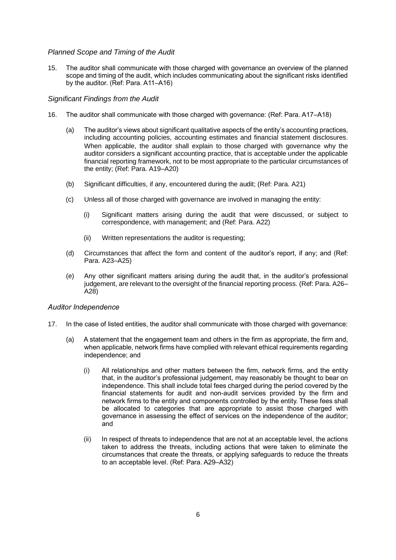#### *Planned Scope and Timing of the Audit*

15. The auditor shall communicate with those charged with governance an overview of the planned scope and timing of the audit, which includes communicating about the significant risks identified by the auditor. (Ref: Para. A11–A16)

#### *Significant Findings from the Audit*

- 16. The auditor shall communicate with those charged with governance: (Ref: Para. A17–A18)
	- (a) The auditor's views about significant qualitative aspects of the entity's accounting practices, including accounting policies, accounting estimates and financial statement disclosures. When applicable, the auditor shall explain to those charged with governance why the auditor considers a significant accounting practice, that is acceptable under the applicable financial reporting framework, not to be most appropriate to the particular circumstances of the entity; (Ref: Para. A19–A20)
	- (b) Significant difficulties, if any, encountered during the audit; (Ref: Para. A21)
	- (c) Unless all of those charged with governance are involved in managing the entity:
		- (i) Significant matters arising during the audit that were discussed, or subject to correspondence, with management; and (Ref: Para. A22)
		- (ii) Written representations the auditor is requesting;
	- (d) Circumstances that affect the form and content of the auditor's report, if any; and (Ref: Para. A23–A25)
	- (e) Any other significant matters arising during the audit that, in the auditor's professional judgement, are relevant to the oversight of the financial reporting process. (Ref: Para. A26– A28)

## *Auditor Independence*

- 17. In the case of listed entities, the auditor shall communicate with those charged with governance:
	- (a) A statement that the engagement team and others in the firm as appropriate, the firm and, when applicable, network firms have complied with relevant ethical requirements regarding independence; and
		- (i) All relationships and other matters between the firm, network firms, and the entity that, in the auditor's professional judgement, may reasonably be thought to bear on independence. This shall include total fees charged during the period covered by the financial statements for audit and non-audit services provided by the firm and network firms to the entity and components controlled by the entity. These fees shall be allocated to categories that are appropriate to assist those charged with governance in assessing the effect of services on the independence of the auditor; and
		- (ii) In respect of threats to independence that are not at an acceptable level, the actions taken to address the threats, including actions that were taken to eliminate the circumstances that create the threats, or applying safeguards to reduce the threats to an acceptable level. (Ref: Para. A29–A32)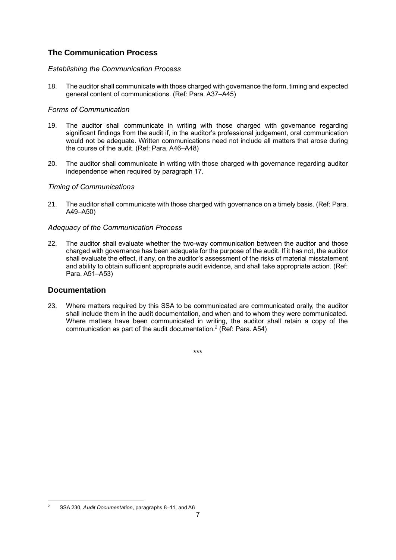## **The Communication Process**

## *Establishing the Communication Process*

18. The auditor shall communicate with those charged with governance the form, timing and expected general content of communications. (Ref: Para. A37–A45)

## *Forms of Communication*

- 19. The auditor shall communicate in writing with those charged with governance regarding significant findings from the audit if, in the auditor's professional judgement, oral communication would not be adequate. Written communications need not include all matters that arose during the course of the audit. (Ref: Para. A46–A48)
- 20. The auditor shall communicate in writing with those charged with governance regarding auditor independence when required by paragraph 17.

## *Timing of Communications*

21. The auditor shall communicate with those charged with governance on a timely basis. (Ref: Para. A49–A50)

## *Adequacy of the Communication Process*

22. The auditor shall evaluate whether the two-way communication between the auditor and those charged with governance has been adequate for the purpose of the audit. If it has not, the auditor shall evaluate the effect, if any, on the auditor's assessment of the risks of material misstatement and ability to obtain sufficient appropriate audit evidence, and shall take appropriate action. (Ref: Para. A51–A53)

## **Documentation**

23. Where matters required by this SSA to be communicated are communicated orally, the auditor shall include them in the audit documentation, and when and to whom they were communicated. Where matters have been communicated in writing, the auditor shall retain a copy of the communication as part of the audit documentation.<sup>2</sup> (Ref: Para. A54)

\*\*\*

<sup>2</sup> SSA 230, *Audit Documentation*, paragraphs 8–11, and A6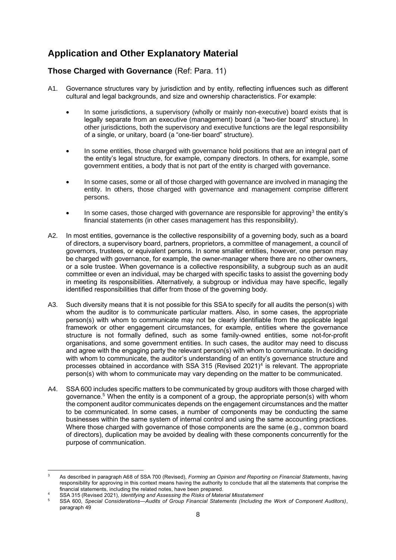# **Application and Other Explanatory Material**

## **Those Charged with Governance** (Ref: Para. 11)

- A1. Governance structures vary by jurisdiction and by entity, reflecting influences such as different cultural and legal backgrounds, and size and ownership characteristics. For example:
	- In some jurisdictions, a supervisory (wholly or mainly non-executive) board exists that is legally separate from an executive (management) board (a "two-tier board" structure). In other jurisdictions, both the supervisory and executive functions are the legal responsibility of a single, or unitary, board (a "one-tier board" structure).
	- In some entities, those charged with governance hold positions that are an integral part of the entity's legal structure, for example, company directors. In others, for example, some government entities, a body that is not part of the entity is charged with governance.
	- In some cases, some or all of those charged with governance are involved in managing the entity. In others, those charged with governance and management comprise different persons.
	- In some cases, those charged with governance are responsible for approving<sup>3</sup> the entity's financial statements (in other cases management has this responsibility).
- A2. In most entities, governance is the collective responsibility of a governing body, such as a board of directors, a supervisory board, partners, proprietors, a committee of management, a council of governors, trustees, or equivalent persons. In some smaller entities, however, one person may be charged with governance, for example, the owner-manager where there are no other owners, or a sole trustee. When governance is a collective responsibility, a subgroup such as an audit committee or even an individual, may be charged with specific tasks to assist the governing body in meeting its responsibilities. Alternatively, a subgroup or individua may have specific, legally identified responsibilities that differ from those of the governing body.
- A3. Such diversity means that it is not possible for this SSAto specify for all audits the person(s) with whom the auditor is to communicate particular matters. Also, in some cases, the appropriate person(s) with whom to communicate may not be clearly identifiable from the applicable legal framework or other engagement circumstances, for example, entities where the governance structure is not formally defined, such as some family-owned entities, some not-for-profit organisations, and some government entities. In such cases, the auditor may need to discuss and agree with the engaging party the relevant person(s) with whom to communicate. In deciding with whom to communicate, the auditor's understanding of an entity's governance structure and processes obtained in accordance with SSA 315 (Revised 2021) 4 is relevant. The appropriate person(s) with whom to communicate may vary depending on the matter to be communicated.
- A4. SSA 600 includes specific matters to be communicated by group auditors with those charged with governance.<sup>5</sup> When the entity is a component of a group, the appropriate person(s) with whom the component auditor communicates depends on the engagement circumstances and the matter to be communicated. In some cases, a number of components may be conducting the same businesses within the same system of internal control and using the same accounting practices. Where those charged with governance of those components are the same (e.g., common board of directors), duplication may be avoided by dealing with these components concurrently for the purpose of communication.

<sup>3</sup> As described in paragraph A68 of SSA 700 (Revised), *Forming an Opinion and Reporting on Financial Statements*, having responsibility for approving in this context means having the authority to conclude that all the statements that comprise the financial statements, including the related notes, have been prepared.

<sup>4</sup> SSA 315 (Revised 2021), *Identifying and Assessing the Risks of Material Misstatement*

<sup>5</sup> SSA 600, *Special Considerations—Audits of Group Financial Statements (Including the Work of Component Auditors)*, paragraph 49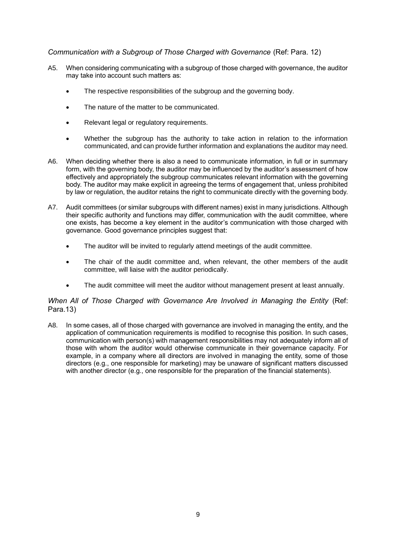## *Communication with a Subgroup of Those Charged with Governance* (Ref: Para. 12)

- A5. When considering communicating with a subgroup of those charged with governance, the auditor may take into account such matters as:
	- The respective responsibilities of the subgroup and the governing body.
	- The nature of the matter to be communicated.
	- Relevant legal or regulatory requirements.
	- Whether the subgroup has the authority to take action in relation to the information communicated, and can provide further information and explanations the auditor may need.
- A6. When deciding whether there is also a need to communicate information, in full or in summary form, with the governing body, the auditor may be influenced by the auditor's assessment of how effectively and appropriately the subgroup communicates relevant information with the governing body. The auditor may make explicit in agreeing the terms of engagement that, unless prohibited by law or regulation, the auditor retains the right to communicate directly with the governing body.
- A7. Audit committees (or similar subgroups with different names) exist in many jurisdictions. Although their specific authority and functions may differ, communication with the audit committee, where one exists, has become a key element in the auditor's communication with those charged with governance. Good governance principles suggest that:
	- The auditor will be invited to regularly attend meetings of the audit committee.
	- The chair of the audit committee and, when relevant, the other members of the audit committee, will liaise with the auditor periodically.
	- The audit committee will meet the auditor without management present at least annually.

## *When All of Those Charged with Governance Are Involved in Managing the Entity (Ref:* Para.13)

A8. In some cases, all of those charged with governance are involved in managing the entity, and the application of communication requirements is modified to recognise this position. In such cases, communication with person(s) with management responsibilities may not adequately inform all of those with whom the auditor would otherwise communicate in their governance capacity. For example, in a company where all directors are involved in managing the entity, some of those directors (e.g., one responsible for marketing) may be unaware of significant matters discussed with another director (e.g., one responsible for the preparation of the financial statements).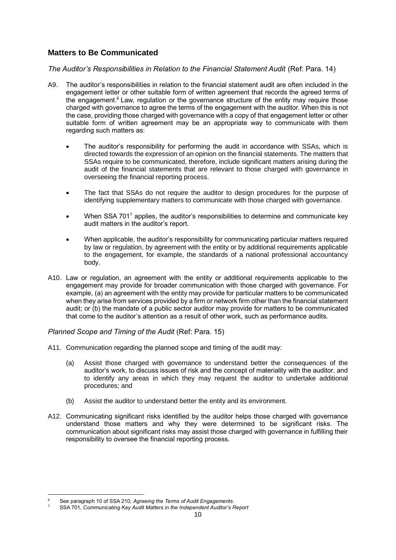## **Matters to Be Communicated**

## *The Auditor's Responsibilities in Relation to the Financial Statement Audit* (Ref: Para. 14)

- A9. The auditor's responsibilities in relation to the financial statement audit are often included in the engagement letter or other suitable form of written agreement that records the agreed terms of the engagement.<sup>6</sup> Law, regulation or the governance structure of the entity may require those charged with governance to agree the terms of the engagement with the auditor. When this is not the case, providing those charged with governance with a copy of that engagement letter or other suitable form of written agreement may be an appropriate way to communicate with them regarding such matters as:
	- The auditor's responsibility for performing the audit in accordance with SSAs, which is directed towards the expression of an opinion on the financial statements. The matters that SSAs require to be communicated, therefore, include significant matters arising during the audit of the financial statements that are relevant to those charged with governance in overseeing the financial reporting process.
	- The fact that SSAs do not require the auditor to design procedures for the purpose of identifying supplementary matters to communicate with those charged with governance.
	- When SSA 701<sup>7</sup> applies, the auditor's responsibilities to determine and communicate key audit matters in the auditor's report.
	- When applicable, the auditor's responsibility for communicating particular matters required by law or regulation, by agreement with the entity or by additional requirements applicable to the engagement, for example, the standards of a national professional accountancy body.
- A10. Law or regulation, an agreement with the entity or additional requirements applicable to the engagement may provide for broader communication with those charged with governance. For example, (a) an agreement with the entity may provide for particular matters to be communicated when they arise from services provided by a firm or network firm other than the financial statement audit; or (b) the mandate of a public sector auditor may provide for matters to be communicated that come to the auditor's attention as a result of other work, such as performance audits.

## *Planned Scope and Timing of the Audit* (Ref: Para. 15)

- A11. Communication regarding the planned scope and timing of the audit may:
	- (a) Assist those charged with governance to understand better the consequences of the auditor's work, to discuss issues of risk and the concept of materiality with the auditor, and to identify any areas in which they may request the auditor to undertake additional procedures; and
	- (b) Assist the auditor to understand better the entity and its environment.
- A12. Communicating significant risks identified by the auditor helps those charged with governance understand those matters and why they were determined to be significant risks. The communication about significant risks may assist those charged with governance in fulfilling their responsibility to oversee the financial reporting process.

<sup>6</sup> See paragraph 10 of SSA 210, *Agreeing the Terms of Audit Engagements*.

<sup>7</sup> SSA 701, *Communicating Key Audit Matters in the Independent Auditor's Report*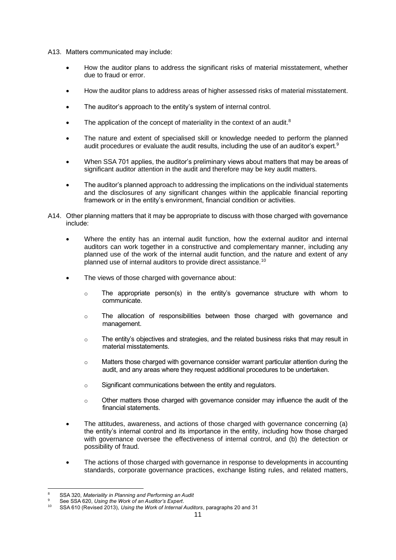- A13. Matters communicated may include:
	- How the auditor plans to address the significant risks of material misstatement, whether due to fraud or error.
	- How the auditor plans to address areas of higher assessed risks of material misstatement.
	- The auditor's approach to the entity's system of internal control.
	- The application of the concept of materiality in the context of an audit.<sup>8</sup>
	- The nature and extent of specialised skill or knowledge needed to perform the planned audit procedures or evaluate the audit results, including the use of an auditor's expert.<sup>9</sup>
	- When SSA 701 applies, the auditor's preliminary views about matters that may be areas of significant auditor attention in the audit and therefore may be key audit matters.
	- The auditor's planned approach to addressing the implications on the individual statements and the disclosures of any significant changes within the applicable financial reporting framework or in the entity's environment, financial condition or activities.
- A14. Other planning matters that it may be appropriate to discuss with those charged with governance include:
	- Where the entity has an internal audit function, how the external auditor and internal auditors can work together in a constructive and complementary manner, including any planned use of the work of the internal audit function, and the nature and extent of any planned use of internal auditors to provide direct assistance.<sup>10</sup>
	- The views of those charged with governance about:
		- $\circ$  The appropriate person(s) in the entity's governance structure with whom to communicate.
		- o The allocation of responsibilities between those charged with governance and management.
		- $\circ$  The entity's objectives and strategies, and the related business risks that may result in material misstatements.
		- $\circ$  Matters those charged with governance consider warrant particular attention during the audit, and any areas where they request additional procedures to be undertaken.
		- o Significant communications between the entity and regulators.
		- $\circ$  Other matters those charged with governance consider may influence the audit of the financial statements.
	- The attitudes, awareness, and actions of those charged with governance concerning (a) the entity's internal control and its importance in the entity, including how those charged with governance oversee the effectiveness of internal control, and (b) the detection or possibility of fraud.
	- The actions of those charged with governance in response to developments in accounting standards, corporate governance practices, exchange listing rules, and related matters,

<sup>8</sup> SSA 320, *Materiality in Planning and Performing an Audit*

See SSA 620, *Using the Work of an Auditor's Expert*.

<sup>10</sup> SSA 610 (Revised 2013), *Using the Work of Internal Auditors*, paragraphs 20 and 31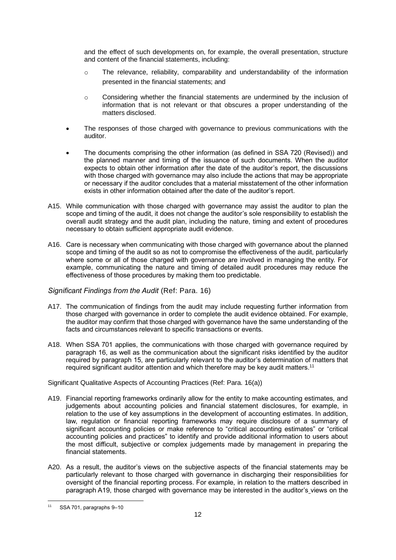and the effect of such developments on, for example, the overall presentation, structure and content of the financial statements, including:

- $\circ$  The relevance, reliability, comparability and understandability of the information presented in the financial statements; and
- $\circ$  Considering whether the financial statements are undermined by the inclusion of information that is not relevant or that obscures a proper understanding of the matters disclosed.
- The responses of those charged with governance to previous communications with the auditor.
- The documents comprising the other information (as defined in SSA 720 (Revised)) and the planned manner and timing of the issuance of such documents. When the auditor expects to obtain other information after the date of the auditor's report, the discussions with those charged with governance may also include the actions that may be appropriate or necessary if the auditor concludes that a material misstatement of the other information exists in other information obtained after the date of the auditor's report.
- A15. While communication with those charged with governance may assist the auditor to plan the scope and timing of the audit, it does not change the auditor's sole responsibility to establish the overall audit strategy and the audit plan, including the nature, timing and extent of procedures necessary to obtain sufficient appropriate audit evidence.
- A16. Care is necessary when communicating with those charged with governance about the planned scope and timing of the audit so as not to compromise the effectiveness of the audit, particularly where some or all of those charged with governance are involved in managing the entity. For example, communicating the nature and timing of detailed audit procedures may reduce the effectiveness of those procedures by making them too predictable.

## *Significant Findings from the Audit* (Ref: Para. 16)

- A17. The communication of findings from the audit may include requesting further information from those charged with governance in order to complete the audit evidence obtained. For example, the auditor may confirm that those charged with governance have the same understanding of the facts and circumstances relevant to specific transactions or events.
- A18. When SSA 701 applies, the communications with those charged with governance required by paragraph 16, as well as the communication about the significant risks identified by the auditor required by paragraph 15, are particularly relevant to the auditor's determination of matters that required significant auditor attention and which therefore may be key audit matters.<sup>11</sup>

Significant Qualitative Aspects of Accounting Practices (Ref: Para. 16(a))

- A19. Financial reporting frameworks ordinarily allow for the entity to make accounting estimates, and judgements about accounting policies and financial statement disclosures, for example, in relation to the use of key assumptions in the development of accounting estimates. In addition, law, regulation or financial reporting frameworks may require disclosure of a summary of significant accounting policies or make reference to "critical accounting estimates" or "critical accounting policies and practices" to identify and provide additional information to users about the most difficult, subjective or complex judgements made by management in preparing the financial statements.
- A20. As a result, the auditor's views on the subjective aspects of the financial statements may be particularly relevant to those charged with governance in discharging their responsibilities for oversight of the financial reporting process. For example, in relation to the matters described in paragraph A19, those charged with governance may be interested in the auditor's views on the

<sup>11</sup> SSA 701, paragraphs 9–10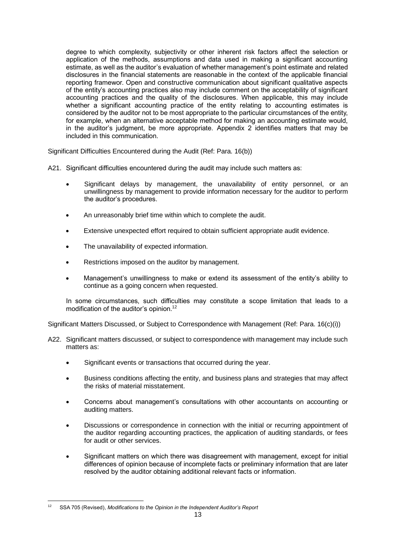degree to which complexity, subjectivity or other inherent risk factors affect the selection or application of the methods, assumptions and data used in making a significant accounting estimate, as well as the auditor's evaluation of whether management's point estimate and related disclosures in the financial statements are reasonable in the context of the applicable financial reporting framewor. Open and constructive communication about significant qualitative aspects of the entity's accounting practices also may include comment on the acceptability of significant accounting practices and the quality of the disclosures. When applicable, this may include whether a significant accounting practice of the entity relating to accounting estimates is considered by the auditor not to be most appropriate to the particular circumstances of the entity, for example, when an alternative acceptable method for making an accounting estimate would, in the auditor's judgment, be more appropriate. Appendix 2 identifies matters that may be included in this communication.

Significant Difficulties Encountered during the Audit (Ref: Para. 16(b))

A21. Significant difficulties encountered during the audit may include such matters as:

- Significant delays by management, the unavailability of entity personnel, or an unwillingness by management to provide information necessary for the auditor to perform the auditor's procedures.
- An unreasonably brief time within which to complete the audit.
- Extensive unexpected effort required to obtain sufficient appropriate audit evidence.
- The unavailability of expected information.
- Restrictions imposed on the auditor by management.
- Management's unwillingness to make or extend its assessment of the entity's ability to continue as a going concern when requested.

In some circumstances, such difficulties may constitute a scope limitation that leads to a modification of the auditor's opinion.<sup>12</sup>

Significant Matters Discussed, or Subject to Correspondence with Management (Ref: Para. 16(c)(i))

- A22. Significant matters discussed, or subject to correspondence with management may include such matters as:
	- Significant events or transactions that occurred during the year.
	- Business conditions affecting the entity, and business plans and strategies that may affect the risks of material misstatement.
	- Concerns about management's consultations with other accountants on accounting or auditing matters.
	- Discussions or correspondence in connection with the initial or recurring appointment of the auditor regarding accounting practices, the application of auditing standards, or fees for audit or other services.
	- Significant matters on which there was disagreement with management, except for initial differences of opinion because of incomplete facts or preliminary information that are later resolved by the auditor obtaining additional relevant facts or information.

<sup>12</sup> SSA 705 (Revised), *Modifications to the Opinion in the Independent Auditor's Report*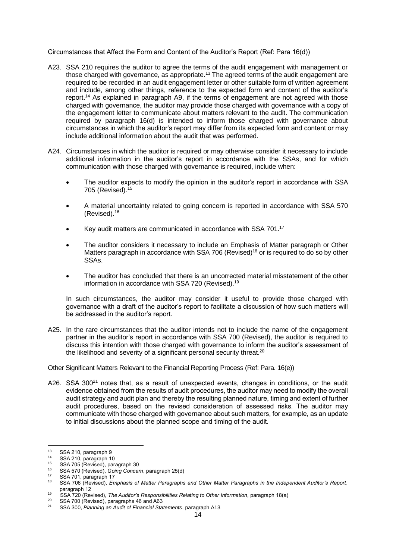Circumstances that Affect the Form and Content of the Auditor's Report (Ref: Para 16(d))

- A23. SSA 210 requires the auditor to agree the terms of the audit engagement with management or those charged with governance, as appropriate.<sup>13</sup> The agreed terms of the audit engagement are required to be recorded in an audit engagement letter or other suitable form of written agreement and include, among other things, reference to the expected form and content of the auditor's report.<sup>14</sup> As explained in paragraph A9, if the terms of engagement are not agreed with those charged with governance, the auditor may provide those charged with governance with a copy of the engagement letter to communicate about matters relevant to the audit. The communication required by paragraph 16(d) is intended to inform those charged with governance about circumstances in which the auditor's report may differ from its expected form and content or may include additional information about the audit that was performed.
- A24. Circumstances in which the auditor is required or may otherwise consider it necessary to include additional information in the auditor's report in accordance with the SSAs, and for which communication with those charged with governance is required, include when:
	- The auditor expects to modify the opinion in the auditor's report in accordance with SSA 705 (Revised).<sup>15</sup>
	- A material uncertainty related to going concern is reported in accordance with SSA 570 (Revised).<sup>16</sup>
	- Key audit matters are communicated in accordance with SSA 701.<sup>17</sup>
	- The auditor considers it necessary to include an Emphasis of Matter paragraph or Other Matters paragraph in accordance with SSA 706 (Revised)<sup>18</sup> or is required to do so by other SSAs.
	- The auditor has concluded that there is an uncorrected material misstatement of the other information in accordance with SSA 720 (Revised).<sup>19</sup>

In such circumstances, the auditor may consider it useful to provide those charged with governance with a draft of the auditor's report to facilitate a discussion of how such matters will be addressed in the auditor's report.

A25. In the rare circumstances that the auditor intends not to include the name of the engagement partner in the auditor's report in accordance with SSA 700 (Revised), the auditor is required to discuss this intention with those charged with governance to inform the auditor's assessment of the likelihood and severity of a significant personal security threat.<sup>20</sup>

Other Significant Matters Relevant to the Financial Reporting Process (Ref: Para. 16(e))

A26. SSA 300<sup>21</sup> notes that, as a result of unexpected events, changes in conditions, or the audit evidence obtained from the results of audit procedures, the auditor may need to modify the overall audit strategy and audit plan and thereby the resulting planned nature, timing and extent of further audit procedures, based on the revised consideration of assessed risks. The auditor may communicate with those charged with governance about such matters, for example, as an update to initial discussions about the planned scope and timing of the audit.

 $13$  SSA 210, paragraph 9

 $^{14}$  SSA 210, paragraph 10

<sup>&</sup>lt;sup>15</sup> SSA 705 (Revised), paragraph 30<br><sup>16</sup> SSA 570 (Boyiesd), Caing Concer

<sup>16</sup> SSA 570 (Revised), *Going Concern*, paragraph 25(d)

<sup>&</sup>lt;sup>17</sup> SSA 701, paragraph 17<br><sup>18</sup> SSA 706 (Revised) En

<sup>18</sup> SSA 706 (Revised), *Emphasis of Matter Paragraphs and Other Matter Paragraphs in the Independent Auditor's Report*, paragraph 12

<sup>19</sup> SSA 720 (Revised), *The Auditor's Responsibilities Relating to Other Information*, paragraph 18(a)

<sup>&</sup>lt;sup>20</sup> SSA 700 (Revised), paragraphs 46 and A63

<sup>21</sup> SSA 300, *Planning an Audit of Financial Statements*, paragraph A13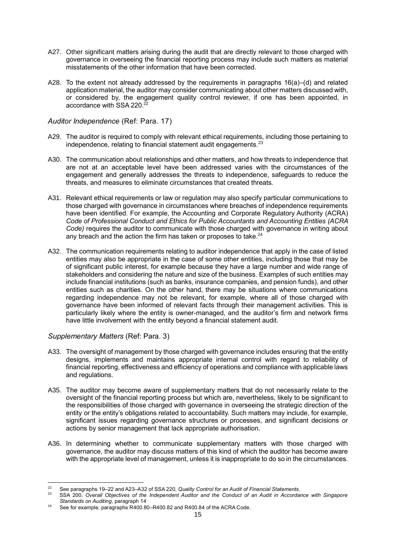- A27. Other significant matters arising during the audit that are directly relevant to those charged with governance in overseeing the financial reporting process may include such matters as material misstatements of the other information that have been corrected.
- A28. To the extent not already addressed by the requirements in paragraphs 16(a)–(d) and related application material, the auditor may consider communicating about other matters discussed with, or considered by, the engagement quality control reviewer, if one has been appointed, in accordance with SSA 220.<sup>22</sup>

## *Auditor Independence* (Ref: Para. 17)

- A29. The auditor is required to comply with relevant ethical requirements, including those pertaining to independence, relating to financial statement audit engagements.<sup>23</sup>
- A30. The communication about relationships and other matters, and how threats to independence that are not at an acceptable level have been addressed varies with the circumstances of the engagement and generally addresses the threats to independence, safeguards to reduce the threats, and measures to eliminate circumstances that created threats.
- A31. Relevant ethical requirements or law or regulation may also specify particular communications to those charged with governance in circumstances where breaches of independence requirements have been identified. For example, the Accounting and Corporate Regulatory Authority (ACRA) *Code of Professional Conduct and Ethics for Public Accountants and Accounting Entities (ACRA Code)* requires the auditor to communicate with those charged with governance in writing about any breach and the action the firm has taken or proposes to take.<sup>24</sup>
- A32. The communication requirements relating to auditor independence that apply in the case of listed entities may also be appropriate in the case of some other entities, including those that may be of significant public interest, for example because they have a large number and wide range of stakeholders and considering the nature and size of the business. Examples of such entities may include financial institutions (such as banks, insurance companies, and pension funds), and other entities such as charities. On the other hand, there may be situations where communications regarding independence may not be relevant, for example, where all of those charged with governance have been informed of relevant facts through their management activities. This is particularly likely where the entity is owner-managed, and the auditor's firm and network firms have little involvement with the entity beyond a financial statement audit.

## *Supplementary Matters* (Ref: Para. 3)

- A33. The oversight of management by those charged with governance includes ensuring that the entity designs, implements and maintains appropriate internal control with regard to reliability of financial reporting, effectiveness and efficiency of operations and compliance with applicable laws and regulations.
- A35. The auditor may become aware of supplementary matters that do not necessarily relate to the oversight of the financial reporting process but which are, nevertheless, likely to be significant to the responsibilities of those charged with governance in overseeing the strategic direction of the entity or the entity's obligations related to accountability. Such matters may include, for example, significant issues regarding governance structures or processes, and significant decisions or actions by senior management that lack appropriate authorisation.
- A36. In determining whether to communicate supplementary matters with those charged with governance, the auditor may discuss matters of this kind of which the auditor has become aware with the appropriate level of management, unless it is inappropriate to do so in the circumstances.

<sup>22</sup> See paragraphs 19–22 and A23–A32 of SSA 220, *Quality Control for an Audit of Financial Statements*.

<sup>23</sup> SSA 200, *Overall Objectives of the Independent Auditor and the Conduct of an Audit in Accordance with Singapore Standards on Auditing*, paragraph 14

<sup>&</sup>lt;sup>24</sup> See for example, paragraphs R400.80–R400.82 and R400.84 of the ACRA Code.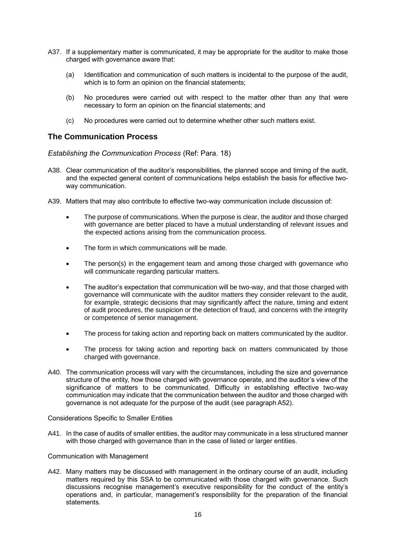- A37. If a supplementary matter is communicated, it may be appropriate for the auditor to make those charged with governance aware that:
	- (a) Identification and communication of such matters is incidental to the purpose of the audit, which is to form an opinion on the financial statements;
	- (b) No procedures were carried out with respect to the matter other than any that were necessary to form an opinion on the financial statements; and
	- (c) No procedures were carried out to determine whether other such matters exist.

## **The Communication Process**

*Establishing the Communication Process* (Ref: Para. 18)

- A38. Clear communication of the auditor's responsibilities, the planned scope and timing of the audit, and the expected general content of communications helps establish the basis for effective twoway communication.
- A39. Matters that may also contribute to effective two-way communication include discussion of:
	- The purpose of communications. When the purpose is clear, the auditor and those charged with governance are better placed to have a mutual understanding of relevant issues and the expected actions arising from the communication process.
	- The form in which communications will be made.
	- The person(s) in the engagement team and among those charged with governance who will communicate regarding particular matters.
	- The auditor's expectation that communication will be two-way, and that those charged with governance will communicate with the auditor matters they consider relevant to the audit, for example, strategic decisions that may significantly affect the nature, timing and extent of audit procedures, the suspicion or the detection of fraud, and concerns with the integrity or competence of senior management.
	- The process for taking action and reporting back on matters communicated by the auditor.
	- The process for taking action and reporting back on matters communicated by those charged with governance.
- A40. The communication process will vary with the circumstances, including the size and governance structure of the entity, how those charged with governance operate, and the auditor's view of the significance of matters to be communicated. Difficulty in establishing effective two-way communication may indicate that the communication between the auditor and those charged with governance is not adequate for the purpose of the audit (see paragraph A52).

Considerations Specific to Smaller Entities

A41. In the case of audits of smaller entities, the auditor may communicate in a less structured manner with those charged with governance than in the case of listed or larger entities.

#### Communication with Management

A42. Many matters may be discussed with management in the ordinary course of an audit, including matters required by this SSA to be communicated with those charged with governance. Such discussions recognise management's executive responsibility for the conduct of the entity's operations and, in particular, management's responsibility for the preparation of the financial statements.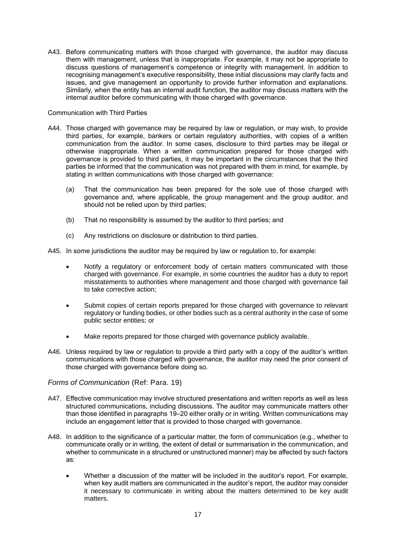A43. Before communicating matters with those charged with governance, the auditor may discuss them with management, unless that is inappropriate. For example, it may not be appropriate to discuss questions of management's competence or integrity with management. In addition to recognising management's executive responsibility, these initial discussions may clarify facts and issues, and give management an opportunity to provide further information and explanations. Similarly, when the entity has an internal audit function, the auditor may discuss matters with the internal auditor before communicating with those charged with governance.

#### Communication with Third Parties

- A44. Those charged with governance may be required by law or regulation, or may wish, to provide third parties, for example, bankers or certain regulatory authorities, with copies of a written communication from the auditor. In some cases, disclosure to third parties may be illegal or otherwise inappropriate. When a written communication prepared for those charged with governance is provided to third parties, it may be important in the circumstances that the third parties be informed that the communication was not prepared with them in mind, for example, by stating in written communications with those charged with governance:
	- (a) That the communication has been prepared for the sole use of those charged with governance and, where applicable, the group management and the group auditor, and should not be relied upon by third parties;
	- (b) That no responsibility is assumed by the auditor to third parties; and
	- (c) Any restrictions on disclosure or distribution to third parties.

A45. In some jurisdictions the auditor may be required by law or regulation to, for example:

- Notify a regulatory or enforcement body of certain matters communicated with those charged with governance. For example, in some countries the auditor has a duty to report misstatements to authorities where management and those charged with governance fail to take corrective action;
- Submit copies of certain reports prepared for those charged with governance to relevant regulatory or funding bodies, or other bodies such as a central authority in the case of some public sector entities; or
- Make reports prepared for those charged with governance publicly available.
- A46. Unless required by law or regulation to provide a third party with a copy of the auditor's written communications with those charged with governance, the auditor may need the prior consent of those charged with governance before doing so.

## *Forms of Communication* (Ref: Para. 19)

- A47. Effective communication may involve structured presentations and written reports as well as less structured communications, including discussions. The auditor may communicate matters other than those identified in paragraphs 19–20 either orally or in writing. Written communications may include an engagement letter that is provided to those charged with governance.
- A48. In addition to the significance of a particular matter, the form of communication (e.g., whether to communicate orally or in writing, the extent of detail or summarisation in the communication, and whether to communicate in a structured or unstructured manner) may be affected by such factors as:
	- Whether a discussion of the matter will be included in the auditor's report. For example, when key audit matters are communicated in the auditor's report, the auditor may consider it necessary to communicate in writing about the matters determined to be key audit matters.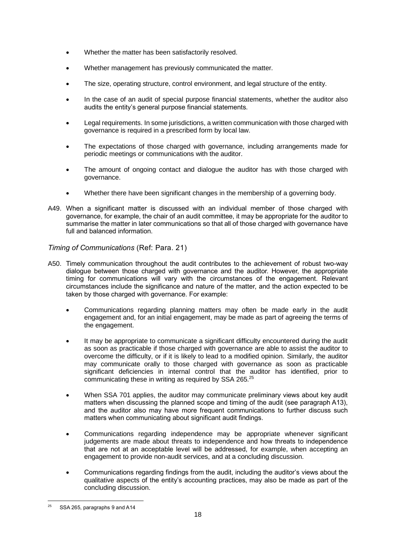- Whether the matter has been satisfactorily resolved.
- Whether management has previously communicated the matter.
- The size, operating structure, control environment, and legal structure of the entity.
- In the case of an audit of special purpose financial statements, whether the auditor also audits the entity's general purpose financial statements.
- Legal requirements. In some jurisdictions, a written communication with those charged with governance is required in a prescribed form by local law.
- The expectations of those charged with governance, including arrangements made for periodic meetings or communications with the auditor.
- The amount of ongoing contact and dialogue the auditor has with those charged with governance.
- Whether there have been significant changes in the membership of a governing body.
- A49. When a significant matter is discussed with an individual member of those charged with governance, for example, the chair of an audit committee, it may be appropriate for the auditor to summarise the matter in later communications so that all of those charged with governance have full and balanced information.

## *Timing of Communications* (Ref: Para. 21)

- A50. Timely communication throughout the audit contributes to the achievement of robust two-way dialogue between those charged with governance and the auditor. However, the appropriate timing for communications will vary with the circumstances of the engagement. Relevant circumstances include the significance and nature of the matter, and the action expected to be taken by those charged with governance. For example:
	- Communications regarding planning matters may often be made early in the audit engagement and, for an initial engagement, may be made as part of agreeing the terms of the engagement.
	- It may be appropriate to communicate a significant difficulty encountered during the audit as soon as practicable if those charged with governance are able to assist the auditor to overcome the difficulty, or if it is likely to lead to a modified opinion. Similarly, the auditor may communicate orally to those charged with governance as soon as practicable significant deficiencies in internal control that the auditor has identified, prior to communicating these in writing as required by SSA 265.<sup>25</sup>
	- When SSA 701 applies, the auditor may communicate preliminary views about key audit matters when discussing the planned scope and timing of the audit (see paragraph A13), and the auditor also may have more frequent communications to further discuss such matters when communicating about significant audit findings.
	- Communications regarding independence may be appropriate whenever significant judgements are made about threats to independence and how threats to independence that are not at an acceptable level will be addressed, for example, when accepting an engagement to provide non-audit services, and at a concluding discussion.
	- Communications regarding findings from the audit, including the auditor's views about the qualitative aspects of the entity's accounting practices, may also be made as part of the concluding discussion.

<sup>25</sup> SSA 265, paragraphs 9 and A14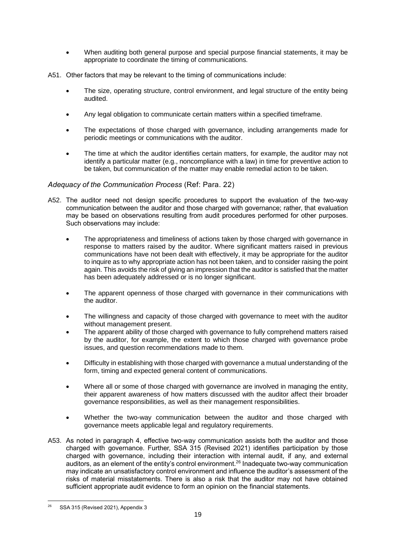- When auditing both general purpose and special purpose financial statements, it may be appropriate to coordinate the timing of communications.
- A51. Other factors that may be relevant to the timing of communications include:
	- The size, operating structure, control environment, and legal structure of the entity being audited.
	- Any legal obligation to communicate certain matters within a specified timeframe.
	- The expectations of those charged with governance, including arrangements made for periodic meetings or communications with the auditor.
	- The time at which the auditor identifies certain matters, for example, the auditor may not identify a particular matter (e.g., noncompliance with a law) in time for preventive action to be taken, but communication of the matter may enable remedial action to be taken.

## *Adequacy of the Communication Process* (Ref: Para. 22)

- A52. The auditor need not design specific procedures to support the evaluation of the two-way communication between the auditor and those charged with governance; rather, that evaluation may be based on observations resulting from audit procedures performed for other purposes. Such observations may include:
	- The appropriateness and timeliness of actions taken by those charged with governance in response to matters raised by the auditor. Where significant matters raised in previous communications have not been dealt with effectively, it may be appropriate for the auditor to inquire as to why appropriate action has not been taken, and to consider raising the point again. This avoids the risk of giving an impression that the auditor is satisfied that the matter has been adequately addressed or is no longer significant.
	- The apparent openness of those charged with governance in their communications with the auditor.
	- The willingness and capacity of those charged with governance to meet with the auditor without management present.
	- The apparent ability of those charged with governance to fully comprehend matters raised by the auditor, for example, the extent to which those charged with governance probe issues, and question recommendations made to them.
	- Difficulty in establishing with those charged with governance a mutual understanding of the form, timing and expected general content of communications.
	- Where all or some of those charged with governance are involved in managing the entity, their apparent awareness of how matters discussed with the auditor affect their broader governance responsibilities, as well as their management responsibilities.
	- Whether the two-way communication between the auditor and those charged with governance meets applicable legal and regulatory requirements.
- A53. As noted in paragraph 4, effective two-way communication assists both the auditor and those charged with governance. Further, SSA 315 (Revised 2021) identifies participation by those charged with governance, including their interaction with internal audit, if any, and external auditors, as an element of the entity's control environment.<sup>26</sup> Inadequate two-way communication may indicate an unsatisfactory control environment and influence the auditor's assessment of the risks of material misstatements. There is also a risk that the auditor may not have obtained sufficient appropriate audit evidence to form an opinion on the financial statements.

<sup>26</sup> SSA 315 (Revised 2021), Appendix 3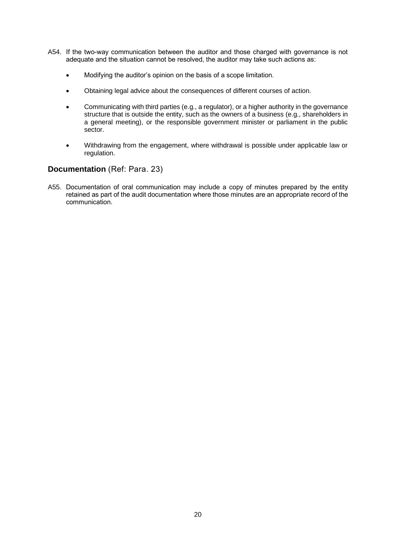- A54. If the two-way communication between the auditor and those charged with governance is not adequate and the situation cannot be resolved, the auditor may take such actions as:
	- Modifying the auditor's opinion on the basis of a scope limitation.
	- Obtaining legal advice about the consequences of different courses of action.
	- Communicating with third parties (e.g., a regulator), or a higher authority in the governance structure that is outside the entity, such as the owners of a business (e.g., shareholders in a general meeting), or the responsible government minister or parliament in the public sector.
	- Withdrawing from the engagement, where withdrawal is possible under applicable law or regulation.

## **Documentation** (Ref: Para. 23)

A55. Documentation of oral communication may include a copy of minutes prepared by the entity retained as part of the audit documentation where those minutes are an appropriate record of the communication.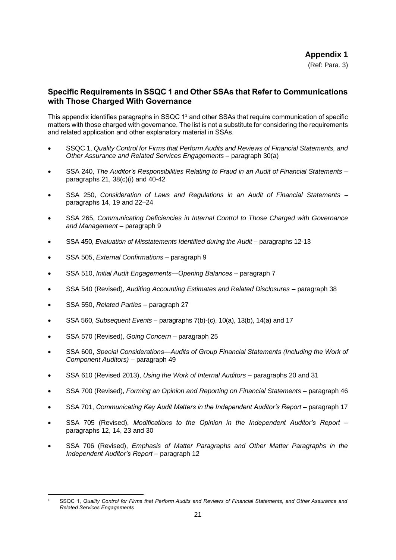## **Appendix 1** (Ref: Para. 3)

## **Specific Requirements in SSQC 1 and Other SSAs that Refer to Communications with Those Charged With Governance**

This appendix identifies paragraphs in SSQC 1<sup>1</sup> and other SSAs that require communication of specific matters with those charged with governance. The list is not a substitute for considering the requirements and related application and other explanatory material in SSAs.

- SSQC 1, *Quality Control for Firms that Perform Audits and Reviews of Financial Statements, and Other Assurance and Related Services Engagements* – paragraph 30(a)
- SSA 240, *The Auditor's Responsibilities Relating to Fraud in an Audit of Financial Statements* paragraphs 21, 38(c)(i) and 40-42
- SSA 250, *Consideration of Laws and Regulations in an Audit of Financial Statements* paragraphs 14, 19 and 22–24
- SSA 265, *Communicating Deficiencies in Internal Control to Those Charged with Governance and Management* – paragraph 9
- SSA 450, *Evaluation of Misstatements Identified during the Audit* paragraphs 12-13
- SSA 505, *External Confirmations* paragraph 9
- SSA 510, *Initial Audit Engagements―Opening Balances* paragraph 7
- SSA 540 (Revised), *Auditing Accounting Estimates and Related Disclosures* paragraph 38
- SSA 550, *Related Parties* paragraph 27
- SSA 560, *Subsequent Events* paragraphs 7(b)-(c), 10(a), 13(b), 14(a) and 17
- SSA 570 (Revised), *Going Concern* paragraph 25
- SSA 600, *Special Considerations―Audits of Group Financial Statements (Including the Work of Component Auditors)* – paragraph 49
- SSA 610 (Revised 2013), *Using the Work of Internal Auditors*  paragraphs 20 and 31
- SSA 700 (Revised), *Forming an Opinion and Reporting on Financial Statements* paragraph 46
- SSA 701, *Communicating Key Audit Matters in the Independent Auditor's Report –* paragraph 17
- SSA 705 (Revised), *Modifications to the Opinion in the Independent Auditor's Report* paragraphs 12, 14, 23 and 30
- SSA 706 (Revised), *Emphasis of Matter Paragraphs and Other Matter Paragraphs in the Independent Auditor's Report* – paragraph 12

<sup>1</sup> SSQC 1, *Quality Control for Firms that Perform Audits and Reviews of Financial Statements, and Other Assurance and Related Services Engagements*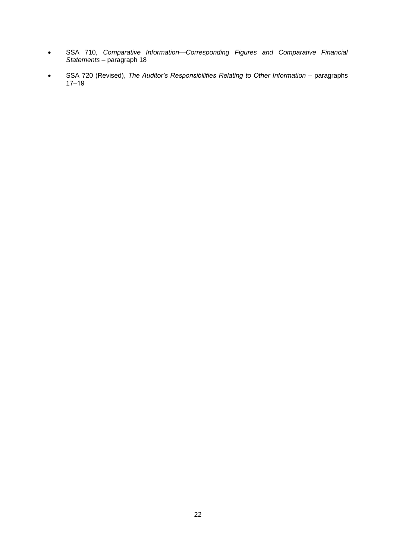- SSA 710, *Comparative Information—Corresponding Figures and Comparative Financial Statements* – paragraph 18
- SSA 720 (Revised), *The Auditor's Responsibilities Relating to Other Information* paragraphs 17–19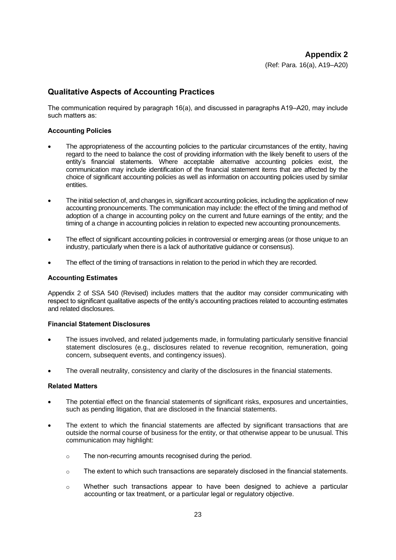## **Qualitative Aspects of Accounting Practices**

The communication required by paragraph 16(a), and discussed in paragraphs A19–A20, may include such matters as:

## **Accounting Policies**

- The appropriateness of the accounting policies to the particular circumstances of the entity, having regard to the need to balance the cost of providing information with the likely benefit to users of the entity's financial statements. Where acceptable alternative accounting policies exist, the communication may include identification of the financial statement items that are affected by the choice of significant accounting policies as well as information on accounting policies used by similar entities.
- The initial selection of, and changes in, significant accounting policies, including the application of new accounting pronouncements. The communication may include: the effect of the timing and method of adoption of a change in accounting policy on the current and future earnings of the entity; and the timing of a change in accounting policies in relation to expected new accounting pronouncements.
- The effect of significant accounting policies in controversial or emerging areas (or those unique to an industry, particularly when there is a lack of authoritative guidance or consensus).
- The effect of the timing of transactions in relation to the period in which they are recorded.

#### **Accounting Estimates**

Appendix 2 of SSA 540 (Revised) includes matters that the auditor may consider communicating with respect to significant qualitative aspects of the entity's accounting practices related to accounting estimates and related disclosures.

#### **Financial Statement Disclosures**

- The issues involved, and related judgements made, in formulating particularly sensitive financial statement disclosures (e.g., disclosures related to revenue recognition, remuneration, going concern, subsequent events, and contingency issues).
- The overall neutrality, consistency and clarity of the disclosures in the financial statements.

#### **Related Matters**

- The potential effect on the financial statements of significant risks, exposures and uncertainties, such as pending litigation, that are disclosed in the financial statements.
- The extent to which the financial statements are affected by significant transactions that are outside the normal course of business for the entity, or that otherwise appear to be unusual. This communication may highlight:
	- o The non-recurring amounts recognised during the period.
	- $\circ$  The extent to which such transactions are separately disclosed in the financial statements.
	- $\circ$  Whether such transactions appear to have been designed to achieve a particular accounting or tax treatment, or a particular legal or regulatory objective.